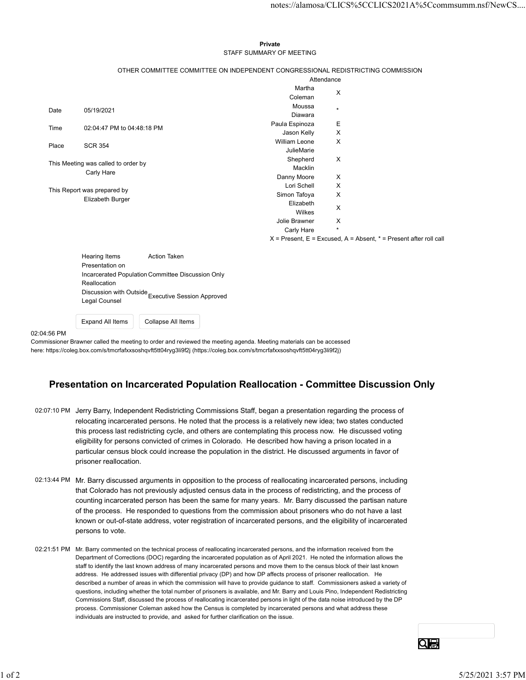## Private **Private** and *Private* and *Private* and *Private* and *Private* and *Private* and *Private* and *Private* and *Private* and *Private* and *Private* and *Private* and *Private* and *Private* and *Private* and *Pri* STAFF SUMMARY OF MEETING

|       |                                                                        |                                                                                 |                              |            |                                                                           | notes://alamosa/CLICS%5CCLICS2021A%5Ccommsumm.nsf/NewCS |  |
|-------|------------------------------------------------------------------------|---------------------------------------------------------------------------------|------------------------------|------------|---------------------------------------------------------------------------|---------------------------------------------------------|--|
|       |                                                                        |                                                                                 |                              |            |                                                                           |                                                         |  |
|       |                                                                        |                                                                                 |                              |            |                                                                           |                                                         |  |
|       |                                                                        |                                                                                 |                              |            |                                                                           |                                                         |  |
|       |                                                                        |                                                                                 | Private                      |            |                                                                           |                                                         |  |
|       |                                                                        |                                                                                 | STAFF SUMMARY OF MEETING     |            |                                                                           |                                                         |  |
|       |                                                                        | OTHER COMMITTEE COMMITTEE ON INDEPENDENT CONGRESSIONAL REDISTRICTING COMMISSION |                              |            |                                                                           |                                                         |  |
|       |                                                                        |                                                                                 |                              | Attendance |                                                                           |                                                         |  |
|       |                                                                        |                                                                                 | Martha                       |            |                                                                           |                                                         |  |
|       |                                                                        |                                                                                 | Coleman                      | X          |                                                                           |                                                         |  |
| Date  | 05/19/2021                                                             |                                                                                 | Moussa                       | $\star$    |                                                                           |                                                         |  |
|       |                                                                        |                                                                                 | Diawara                      |            |                                                                           |                                                         |  |
| Time  | 02:04:47 PM to 04:48:18 PM                                             |                                                                                 | Paula Espinoza               | Е<br>X     |                                                                           |                                                         |  |
|       |                                                                        |                                                                                 | Jason Kelly<br>William Leone | X          |                                                                           |                                                         |  |
| Place | <b>SCR 354</b>                                                         |                                                                                 | JulieMarie                   |            |                                                                           |                                                         |  |
|       |                                                                        |                                                                                 | Shepherd                     | X          |                                                                           |                                                         |  |
|       | This Meeting was called to order by                                    |                                                                                 | Macklin                      |            |                                                                           |                                                         |  |
|       | Carly Hare                                                             |                                                                                 | Danny Moore                  | X          |                                                                           |                                                         |  |
|       | This Report was prepared by                                            |                                                                                 | Lori Schell                  | X          |                                                                           |                                                         |  |
|       | Elizabeth Burger                                                       |                                                                                 | Simon Tafoya                 | X          |                                                                           |                                                         |  |
|       |                                                                        |                                                                                 | Elizabeth<br>Wilkes          | X          |                                                                           |                                                         |  |
|       |                                                                        |                                                                                 | Jolie Brawner                | X          |                                                                           |                                                         |  |
|       |                                                                        |                                                                                 | Carly Hare                   | $\star$    |                                                                           |                                                         |  |
|       |                                                                        |                                                                                 |                              |            | $X =$ Present, $E =$ Excused, $A =$ Absent, $* =$ Present after roll call |                                                         |  |
|       |                                                                        |                                                                                 |                              |            |                                                                           |                                                         |  |
|       | Hearing Items                                                          | Action Taken                                                                    |                              |            |                                                                           |                                                         |  |
|       | Presentation on<br>Incarcerated Population Committee Discussion Only   |                                                                                 |                              |            |                                                                           |                                                         |  |
|       | Reallocation                                                           |                                                                                 |                              |            |                                                                           |                                                         |  |
|       |                                                                        |                                                                                 |                              |            |                                                                           |                                                         |  |
|       | Discussion with Outside<br>Executive Session Approved<br>Legal Counsel |                                                                                 |                              |            |                                                                           |                                                         |  |
|       |                                                                        |                                                                                 |                              |            |                                                                           |                                                         |  |

Expand All Items | Collapse All Items

02:04:56 PM

Commissioner Brawner called the meeting to order and reviewed the meeting agenda. Meeting materials can be accessed here: https://coleg.box.com/s/tmcrfafxxsoshqvft5tt04ryg3li9f2j (https://coleg.box.com/s/tmcrfafxxsoshqvft5tt04ryg3li9f2j)

## Presentation on Incarcerated Population Reallocation - Committee Discussion Only

02:07:10 PM Jerry Barry, Independent Redistricting Commissions Staff, began a presentation regarding the process of relocating incarcerated persons. He noted that the process is a relatively new idea; two states conducted this process last redistricting cycle, and others are contemplating this process now. He discussed voting eligibility for persons convicted of crimes in Colorado. He described how having a prison located in a particular census block could increase the population in the district. He discussed arguments in favor of prisoner reallocation.

- 02:13:44 PM Mr. Barry discussed arguments in opposition to the process of reallocating incarcerated persons, including that Colorado has not previously adjusted census data in the process of redistricting, and the process of counting incarcerated person has been the same for many years. Mr. Barry discussed the partisan nature of the process. He responded to questions from the commission about prisoners who do not have a last known or out-of-state address, voter registration of incarcerated persons, and the eligibility of incarcerated persons to vote.
- 02:21:51 PM Mr. Barry commented on the technical process of reallocating incarcerated persons, and the information received from the Department of Corrections (DOC) regarding the incarcerated population as of April 2021. He noted the information allows the staff to identify the last known address of many incarcerated persons and move them to the census block of their last known address. He addressed issues with differential privacy (DP) and how DP affects process of prisoner reallocation. He described a number of areas in which the commission will have to provide guidance to staff. Commissioners asked a variety of questions, including whether the total number of prisoners is available, and Mr. Barry and Louis Pino, Independent Redistricting Commissions Staff, discussed the process of reallocating incarcerated persons in light of the data noise introduced by the DP process. Commissioner Coleman asked how the Census is completed by incarcerated persons and what address these individuals are instructed to provide, and asked for further clarification on the issue. prisonar terms since to control includes the population in the usual control in the version of 25/25/2021 3:57 PM<br>
Microsoft control is a statistic of the control included control in the process of realicating incarcerated